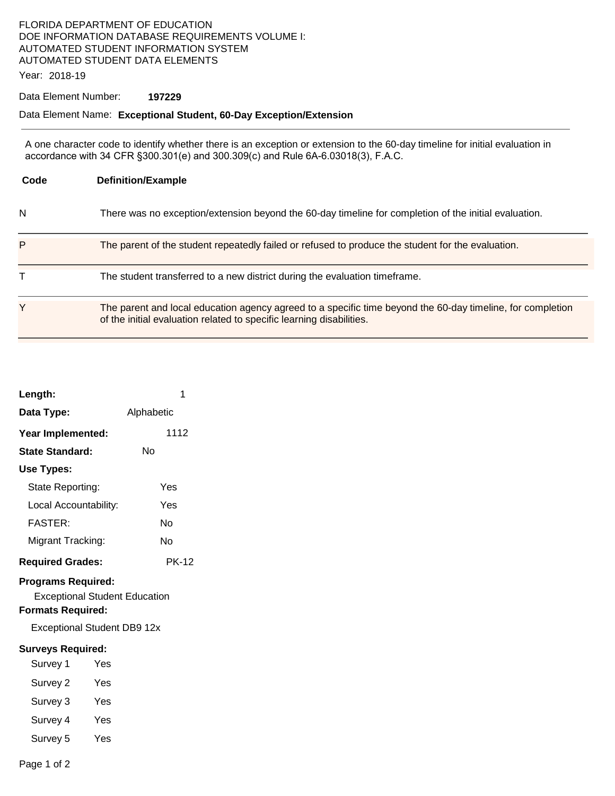## FLORIDA DEPARTMENT OF EDUCATION DOE INFORMATION DATABASE REQUIREMENTS VOLUME I: AUTOMATED STUDENT INFORMATION SYSTEM AUTOMATED STUDENT DATA ELEMENTS

Year: 2018-19

#### Data Element Number: **197229**

## Data Element Name: **Exceptional Student, 60-Day Exception/Extension**

A one character code to identify whether there is an exception or extension to the 60-day timeline for initial evaluation in accordance with 34 CFR §300.301(e) and 300.309(c) and Rule 6A-6.03018(3), F.A.C.

| Code | <b>Definition/Example</b>                                                                                                                                                          |  |
|------|------------------------------------------------------------------------------------------------------------------------------------------------------------------------------------|--|
| N    | There was no exception/extension beyond the 60-day timeline for completion of the initial evaluation.                                                                              |  |
| P    | The parent of the student repeatedly failed or refused to produce the student for the evaluation.                                                                                  |  |
| т    | The student transferred to a new district during the evaluation timeframe.                                                                                                         |  |
| Y    | The parent and local education agency agreed to a specific time beyond the 60-day timeline, for completion<br>of the initial evaluation related to specific learning disabilities. |  |

| Length:                                                                                                                             |     |            | 1    |  |
|-------------------------------------------------------------------------------------------------------------------------------------|-----|------------|------|--|
| Data Type:                                                                                                                          |     | Alphabetic |      |  |
| Year Implemented:                                                                                                                   |     |            | 1112 |  |
| <b>State Standard:</b>                                                                                                              |     | Nο         |      |  |
| Use Types:                                                                                                                          |     |            |      |  |
| State Reporting:                                                                                                                    |     |            | Yes  |  |
| Local Accountability:                                                                                                               |     |            | Yes  |  |
| <b>FASTER:</b>                                                                                                                      |     |            | N٥   |  |
| Migrant Tracking:                                                                                                                   |     |            | Nο   |  |
| <b>Required Grades:</b>                                                                                                             |     | PK-12      |      |  |
| <b>Programs Required:</b><br><b>Exceptional Student Education</b><br><b>Formats Required:</b><br><b>Exceptional Student DB9 12x</b> |     |            |      |  |
| <b>Surveys Required:</b>                                                                                                            |     |            |      |  |
| Survey 1                                                                                                                            | Yes |            |      |  |
| Survey 2                                                                                                                            | Yes |            |      |  |
| Survey 3                                                                                                                            | Yes |            |      |  |
| Survey 4                                                                                                                            | Yes |            |      |  |
| Survey 5                                                                                                                            | Yes |            |      |  |
|                                                                                                                                     |     |            |      |  |

Page 1 of 2